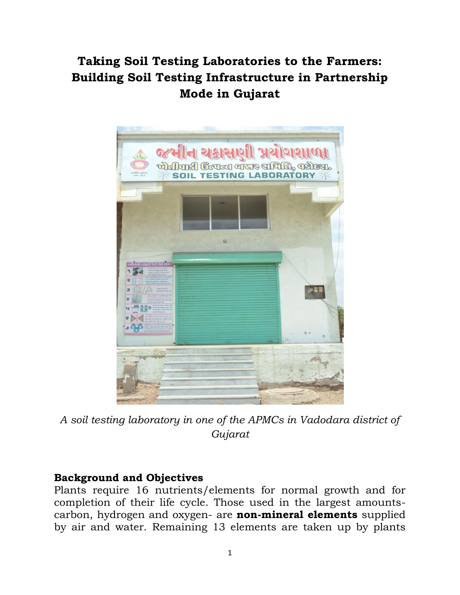## **Taking Soil Testing Laboratories to the Farmers: Building Soil Testing Infrastructure in Partnership Mode in Gujarat**



*A soil testing laboratory in one of the APMCs in Vadodara district of Gujarat*

## **Background and Objectives**

Plants require 16 nutrients/elements for normal growth and for completion of their life cycle. Those used in the largest amountscarbon, hydrogen and oxygen- are **non-mineral elements** supplied by air and water. Remaining 13 elements are taken up by plants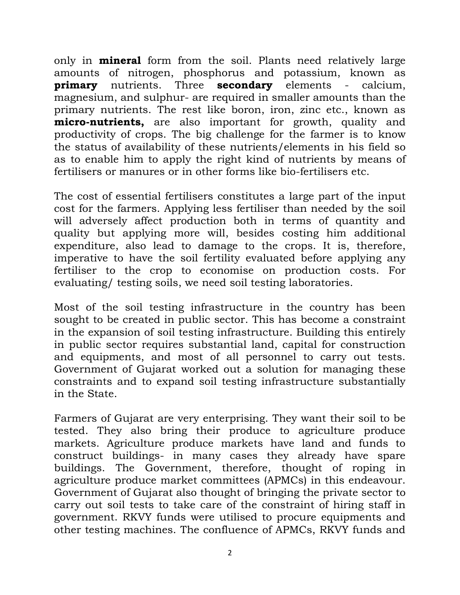only in **mineral** form from the soil. Plants need relatively large amounts of nitrogen, phosphorus and potassium, known as **primary** nutrients. Three **secondary** elements - calcium, magnesium, and sulphur- are required in smaller amounts than the primary nutrients. The rest like boron, iron, zinc etc., known as **micro-nutrients,** are also important for growth, quality and productivity of crops. The big challenge for the farmer is to know the status of availability of these nutrients/elements in his field so as to enable him to apply the right kind of nutrients by means of fertilisers or manures or in other forms like bio-fertilisers etc.

The cost of essential fertilisers constitutes a large part of the input cost for the farmers. Applying less fertiliser than needed by the soil will adversely affect production both in terms of quantity and quality but applying more will, besides costing him additional expenditure, also lead to damage to the crops. It is, therefore, imperative to have the soil fertility evaluated before applying any fertiliser to the crop to economise on production costs. For evaluating/ testing soils, we need soil testing laboratories.

Most of the soil testing infrastructure in the country has been sought to be created in public sector. This has become a constraint in the expansion of soil testing infrastructure. Building this entirely in public sector requires substantial land, capital for construction and equipments, and most of all personnel to carry out tests. Government of Gujarat worked out a solution for managing these constraints and to expand soil testing infrastructure substantially in the State.

Farmers of Gujarat are very enterprising. They want their soil to be tested. They also bring their produce to agriculture produce markets. Agriculture produce markets have land and funds to construct buildings- in many cases they already have spare buildings. The Government, therefore, thought of roping in agriculture produce market committees (APMCs) in this endeavour. Government of Gujarat also thought of bringing the private sector to carry out soil tests to take care of the constraint of hiring staff in government. RKVY funds were utilised to procure equipments and other testing machines. The confluence of APMCs, RKVY funds and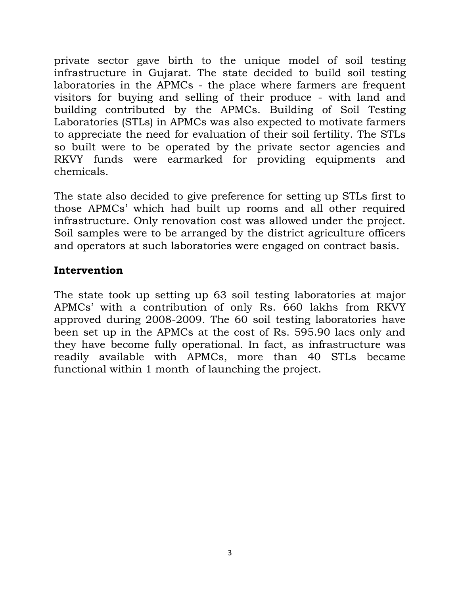private sector gave birth to the unique model of soil testing infrastructure in Gujarat. The state decided to build soil testing laboratories in the APMCs - the place where farmers are frequent visitors for buying and selling of their produce - with land and building contributed by the APMCs. Building of Soil Testing Laboratories (STLs) in APMCs was also expected to motivate farmers to appreciate the need for evaluation of their soil fertility. The STLs so built were to be operated by the private sector agencies and RKVY funds were earmarked for providing equipments and chemicals.

The state also decided to give preference for setting up STLs first to those APMCs' which had built up rooms and all other required infrastructure. Only renovation cost was allowed under the project. Soil samples were to be arranged by the district agriculture officers and operators at such laboratories were engaged on contract basis.

## **Intervention**

The state took up setting up 63 soil testing laboratories at major APMCs' with a contribution of only Rs. 660 lakhs from RKVY approved during 2008-2009. The 60 soil testing laboratories have been set up in the APMCs at the cost of Rs. 595.90 lacs only and they have become fully operational. In fact, as infrastructure was readily available with APMCs, more than 40 STLs became functional within 1 month of launching the project.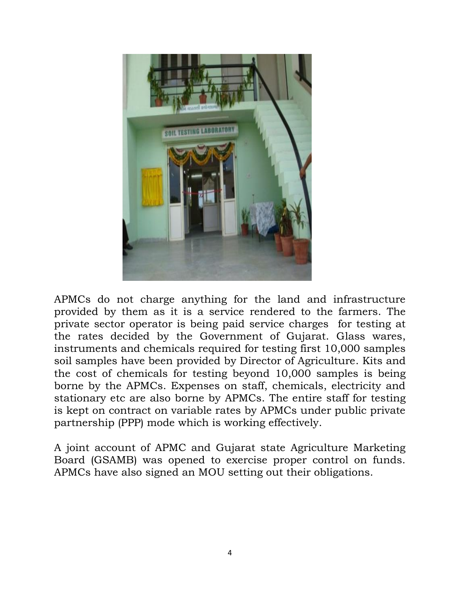

APMCs do not charge anything for the land and infrastructure provided by them as it is a service rendered to the farmers. The private sector operator is being paid service charges for testing at the rates decided by the Government of Gujarat. Glass wares, instruments and chemicals required for testing first 10,000 samples soil samples have been provided by Director of Agriculture. Kits and the cost of chemicals for testing beyond 10,000 samples is being borne by the APMCs. Expenses on staff, chemicals, electricity and stationary etc are also borne by APMCs. The entire staff for testing is kept on contract on variable rates by APMCs under public private partnership (PPP) mode which is working effectively.

A joint account of APMC and Gujarat state Agriculture Marketing Board (GSAMB) was opened to exercise proper control on funds. APMCs have also signed an MOU setting out their obligations.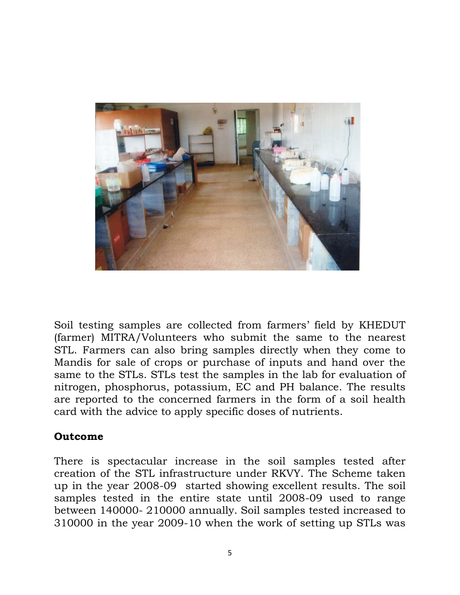

Soil testing samples are collected from farmers' field by KHEDUT (farmer) MITRA/Volunteers who submit the same to the nearest STL. Farmers can also bring samples directly when they come to Mandis for sale of crops or purchase of inputs and hand over the same to the STLs. STLs test the samples in the lab for evaluation of nitrogen, phosphorus, potassium, EC and PH balance. The results are reported to the concerned farmers in the form of a soil health card with the advice to apply specific doses of nutrients.

## **Outcome**

There is spectacular increase in the soil samples tested after creation of the STL infrastructure under RKVY. The Scheme taken up in the year 2008-09 started showing excellent results. The soil samples tested in the entire state until 2008-09 used to range between 140000- 210000 annually. Soil samples tested increased to 310000 in the year 2009-10 when the work of setting up STLs was